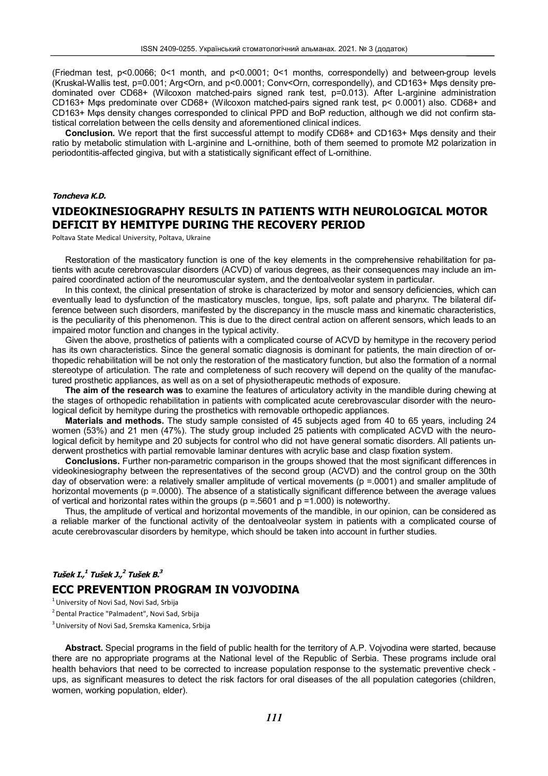(Friedman test, p<0.0066; 0<1 month, and p<0.0001; 0<1 months, correspondelly) and between-group levels (Kruskal-Wallis test, p=0.001; Arg<Orn, and p<0.0001; Conv<Orn, correspondelly), and CD163+ Mφs density predominated over CD68+ (Wilcoxon matched-pairs signed rank test, p=0.013). After L-arginine administration CD163+ Mφs predominate over CD68+ (Wilcoxon matched-pairs signed rank test, p< 0.0001) also. CD68+ and CD163+ Mφs density changes corresponded to clinical PPD and BoP reduction, although we did not confirm statistical correlation between the cells density and aforementioned clinical indices.

**Conclusion.** We report that the first successful attempt to modify CD68+ and CD163+ Mφs density and their ratio by metabolic stimulation with L-arginine and L-ornithine, both of them seemed to promote M2 polarization in periodontitis-affected gingiva, but with a statistically significant effect of L-ornithine.

#### *Toncheva K.D.*

## **VIDEOKINESIOGRAPHY RESULTS IN PATIENTS WITH NEUROLOGICAL MOTOR DEFICIT BY HEMITYPE DURING THE RECOVERY PERIOD**

Poltava State Medical University, Poltava, Ukraine

Restoration of the masticatory function is one of the key elements in the comprehensive rehabilitation for patients with acute cerebrovascular disorders (ACVD) of various degrees, as their consequences may include an impaired coordinated action of the neuromuscular system, and the dentoalveolar system in particular.

In this context, the clinical presentation of stroke is characterized by motor and sensory deficiencies, which can eventually lead to dysfunction of the masticatory muscles, tongue, lips, soft palate and pharynx. The bilateral difference between such disorders, manifested by the discrepancy in the muscle mass and kinematic characteristics, is the peculiarity of this phenomenon. This is due to the direct central action on afferent sensors, which leads to an impaired motor function and changes in the typical activity.

Given the above, prosthetics of patients with a complicated course of ACVD by hemitype in the recovery period has its own characteristics. Since the general somatic diagnosis is dominant for patients, the main direction of orthopedic rehabilitation will be not only the restoration of the masticatory function, but also the formation of a normal stereotype of articulation. The rate and completeness of such recovery will depend on the quality of the manufactured prosthetic appliances, as well as on a set of physiotherapeutic methods of exposure.

**The aim of the research was** to examine the features of articulatory activity in the mandible during chewing at the stages of orthopedic rehabilitation in patients with complicated acute cerebrovascular disorder with the neurological deficit by hemitype during the prosthetics with removable orthopedic appliances.

**Materials and methods.** The study sample consisted of 45 subjects aged from 40 to 65 years, including 24 women (53%) and 21 men (47%). The study group included 25 patients with complicated ACVD with the neurological deficit by hemitype and 20 subjects for control who did not have general somatic disorders. All patients underwent prosthetics with partial removable laminar dentures with acrylic base and clasp fixation system.

**Conclusions.** Further non-parametric comparison in the groups showed that the most significant differences in videokinesiography between the representatives of the second group (ACVD) and the control group on the 30th day of observation were: a relatively smaller amplitude of vertical movements (p =.0001) and smaller amplitude of horizontal movements (p =.0000). The absence of a statistically significant difference between the average values of vertical and horizontal rates within the groups ( $p = 5601$  and  $p = 1.000$ ) is noteworthy.

Thus, the amplitude of vertical and horizontal movements of the mandible, in our opinion, can be considered as a reliable marker of the functional activity of the dentoalveolar system in patients with a complicated course of acute cerebrovascular disorders by hemitype, which should be taken into account in further studies.

## *Tušek I., 1 Tušek J., 2 Tušek B. 3* **ECC PREVENTION PROGRAM IN VOJVODINA**

 $<sup>1</sup>$  University of Novi Sad, Novi Sad, Srbija</sup>

<sup>2</sup> Dental Practice "Palmadent", Novi Sad, Srbija

<sup>3</sup> University of Novi Sad, Sremska Kamenica, Srbija

**Abstract.** Special programs in the field of public health for the territory of A.P. Vojvodina were started, because there are no appropriate programs at the National level of the Republic of Serbia. These programs include oral health behaviors that need to be corrected to increase population response to the systematic preventive check ups, as significant measures to detect the risk factors for oral diseases of the all population categories (children, women, working population, elder).